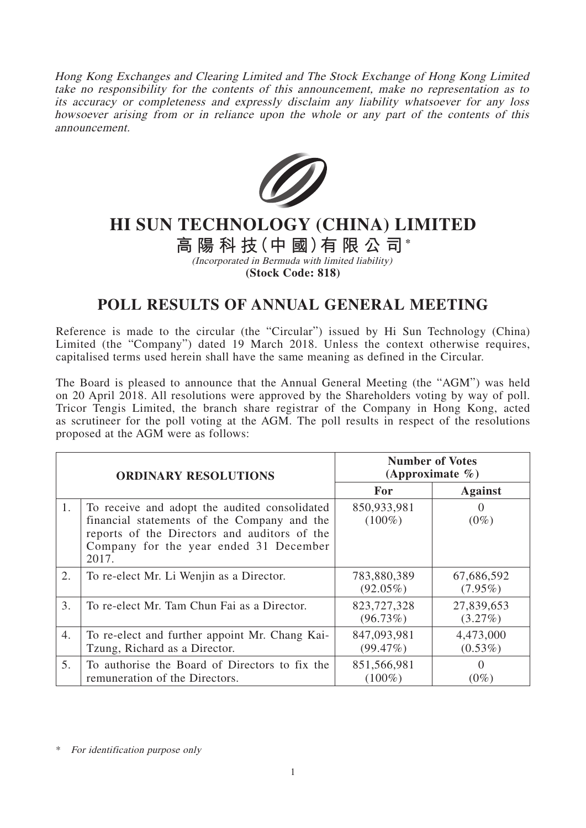Hong Kong Exchanges and Clearing Limited and The Stock Exchange of Hong Kong Limited take no responsibility for the contents of this announcement, make no representation as to its accuracy or completeness and expressly disclaim any liability whatsoever for any loss howsoever arising from or in reliance upon the whole or any part of the contents of this announcement.



## **HI SUN TECHNOLOGY (CHINA) LIMITED**

**高陽科技(中 國)有限公司\***

(Incorporated in Bermuda with limited liability) **(Stock Code: 818)**

## **POLL RESULTS OF ANNUAL GENERAL MEETING**

Reference is made to the circular (the "Circular") issued by Hi Sun Technology (China) Limited (the "Company") dated 19 March 2018. Unless the context otherwise requires, capitalised terms used herein shall have the same meaning as defined in the Circular.

The Board is pleased to announce that the Annual General Meeting (the "AGM") was held on 20 April 2018. All resolutions were approved by the Shareholders voting by way of poll. Tricor Tengis Limited, the branch share registrar of the Company in Hong Kong, acted as scrutineer for the poll voting at the AGM. The poll results in respect of the resolutions proposed at the AGM were as follows:

| <b>ORDINARY RESOLUTIONS</b> |                                                                                                                                                                                                 | <b>Number of Votes</b><br>(Approximate $\%$ ) |                          |
|-----------------------------|-------------------------------------------------------------------------------------------------------------------------------------------------------------------------------------------------|-----------------------------------------------|--------------------------|
|                             |                                                                                                                                                                                                 | <b>For</b>                                    | <b>Against</b>           |
| 1.                          | To receive and adopt the audited consolidated<br>financial statements of the Company and the<br>reports of the Directors and auditors of the<br>Company for the year ended 31 December<br>2017. | 850,933,981<br>$(100\%)$                      | $(0\%)$                  |
| 2.                          | To re-elect Mr. Li Wenjin as a Director.                                                                                                                                                        | 783,880,389<br>$(92.05\%)$                    | 67,686,592<br>$(7.95\%)$ |
| 3.                          | To re-elect Mr. Tam Chun Fai as a Director.                                                                                                                                                     | 823,727,328<br>(96.73%)                       | 27,839,653<br>$(3.27\%)$ |
| 4.                          | To re-elect and further appoint Mr. Chang Kai-<br>Tzung, Richard as a Director.                                                                                                                 | 847,093,981<br>(99.47%)                       | 4,473,000<br>$(0.53\%)$  |
| 5.                          | To authorise the Board of Directors to fix the<br>remuneration of the Directors.                                                                                                                | 851,566,981<br>$(100\%)$                      | $\theta$<br>$(0\%)$      |

\* For identification purpose only